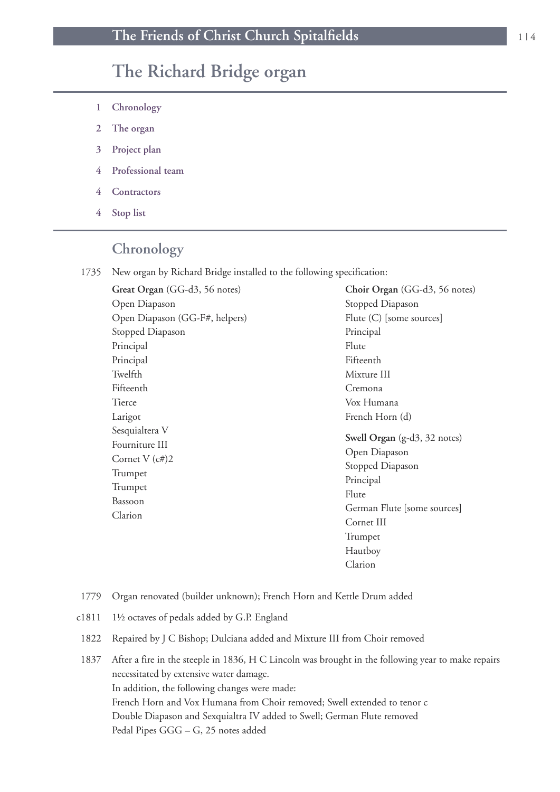# **The Richard Bridge organ**

- **1 Chronology**
- **2 The organ**
- **3 Project plan**
- **4 Professional team**
- **4 Contractors**
- **4 Stop list**

### **Chronology**

1735 New organ by Richard Bridge installed to the following specification:

**Great Organ** (GG-d3, 56 notes) Open Diapason Open Diapason (GG-F#, helpers) Stopped Diapason Principal Principal Twelfth Fifteenth Tierce Larigot Sesquialtera V Fourniture III Cornet V (c#)2 Trumpet Trumpet Bassoon Clarion

**Choir Organ** (GG-d3, 56 notes) Stopped Diapason Flute (C) [some sources] Principal Flute Fifteenth Mixture III Cremona Vox Humana French Horn (d) **Swell Organ** (g-d3, 32 notes) Open Diapason Stopped Diapason Principal Flute German Flute [some sources] Cornet III Trumpet Hautboy Clarion

- 1779 Organ renovated (builder unknown); French Horn and Kettle Drum added
- c1811 1½ octaves of pedals added by G.P. England
- 1822 Repaired by J C Bishop; Dulciana added and Mixture III from Choir removed
- 1837 After a fire in the steeple in 1836, H C Lincoln was brought in the following year to make repairs necessitated by extensive water damage. In addition, the following changes were made: French Horn and Vox Humana from Choir removed; Swell extended to tenor c Double Diapason and Sexquialtra IV added to Swell; German Flute removed Pedal Pipes GGG – G, 25 notes added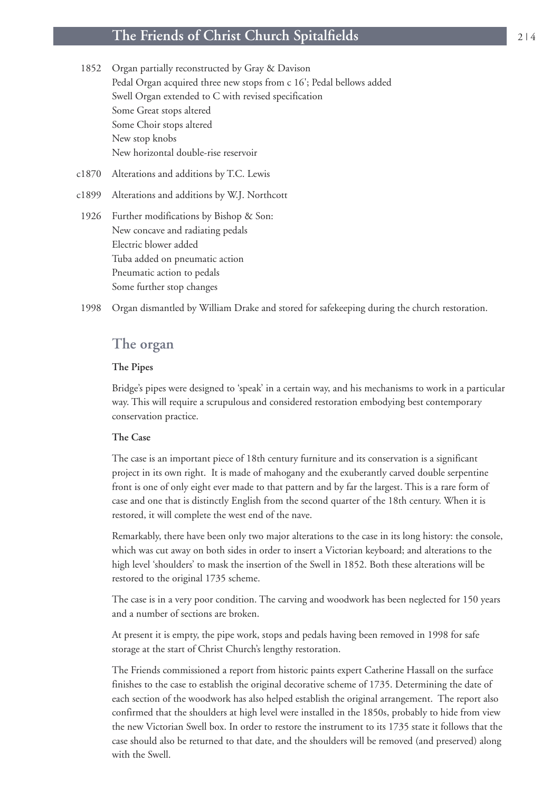### **The Friends of Christ Church Spitalfields** <sup>2</sup> <sup>|</sup> <sup>4</sup>

- 1852 Organ partially reconstructed by Gray & Davison Pedal Organ acquired three new stops from c 16'; Pedal bellows added Swell Organ extended to C with revised specification Some Great stops altered Some Choir stops altered New stop knobs New horizontal double-rise reservoir
- c1870 Alterations and additions by T.C. Lewis
- c1899 Alterations and additions by W.J. Northcott
- 1926 Further modifications by Bishop & Son: New concave and radiating pedals Electric blower added Tuba added on pneumatic action Pneumatic action to pedals Some further stop changes

1998 Organ dismantled by William Drake and stored for safekeeping during the church restoration.

### **The organ**

### **The Pipes**

Bridge's pipes were designed to 'speak' in a certain way, and his mechanisms to work in a particular way. This will require a scrupulous and considered restoration embodying best contemporary conservation practice.

#### **The Case**

The case is an important piece of 18th century furniture and its conservation is a significant project in its own right. It is made of mahogany and the exuberantly carved double serpentine front is one of only eight ever made to that pattern and by far the largest. This is a rare form of case and one that is distinctly English from the second quarter of the 18th century. When it is restored, it will complete the west end of the nave.

Remarkably, there have been only two major alterations to the case in its long history: the console, which was cut away on both sides in order to insert a Victorian keyboard; and alterations to the high level 'shoulders' to mask the insertion of the Swell in 1852. Both these alterations will be restored to the original 1735 scheme.

The case is in a very poor condition. The carving and woodwork has been neglected for 150 years and a number of sections are broken.

At present it is empty, the pipe work, stops and pedals having been removed in 1998 for safe storage at the start of Christ Church's lengthy restoration.

The Friends commissioned a report from historic paints expert Catherine Hassall on the surface finishes to the case to establish the original decorative scheme of 1735. Determining the date of each section of the woodwork has also helped establish the original arrangement. The report also confirmed that the shoulders at high level were installed in the 1850s, probably to hide from view the new Victorian Swell box. In order to restore the instrument to its 1735 state it follows that the case should also be returned to that date, and the shoulders will be removed (and preserved) along with the Swell.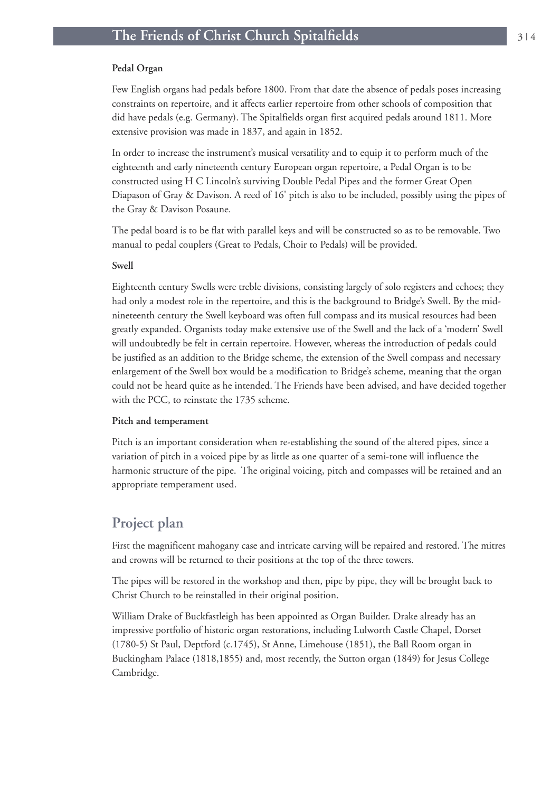#### **Pedal Organ**

Few English organs had pedals before 1800. From that date the absence of pedals poses increasing constraints on repertoire, and it affects earlier repertoire from other schools of composition that did have pedals (e.g. Germany). The Spitalfields organ first acquired pedals around 1811. More extensive provision was made in 1837, and again in 1852.

In order to increase the instrument's musical versatility and to equip it to perform much of the eighteenth and early nineteenth century European organ repertoire, a Pedal Organ is to be constructed using H C Lincoln's surviving Double Pedal Pipes and the former Great Open Diapason of Gray & Davison. A reed of 16' pitch is also to be included, possibly using the pipes of the Gray & Davison Posaune.

The pedal board is to be flat with parallel keys and will be constructed so as to be removable. Two manual to pedal couplers (Great to Pedals, Choir to Pedals) will be provided.

#### **Swell**

Eighteenth century Swells were treble divisions, consisting largely of solo registers and echoes; they had only a modest role in the repertoire, and this is the background to Bridge's Swell. By the midnineteenth century the Swell keyboard was often full compass and its musical resources had been greatly expanded. Organists today make extensive use of the Swell and the lack of a 'modern' Swell will undoubtedly be felt in certain repertoire. However, whereas the introduction of pedals could be justified as an addition to the Bridge scheme, the extension of the Swell compass and necessary enlargement of the Swell box would be a modification to Bridge's scheme, meaning that the organ could not be heard quite as he intended. The Friends have been advised, and have decided together with the PCC, to reinstate the 1735 scheme.

#### **Pitch and temperament**

Pitch is an important consideration when re-establishing the sound of the altered pipes, since a variation of pitch in a voiced pipe by as little as one quarter of a semi-tone will influence the harmonic structure of the pipe. The original voicing, pitch and compasses will be retained and an appropriate temperament used.

### **Project plan**

First the magnificent mahogany case and intricate carving will be repaired and restored. The mitres and crowns will be returned to their positions at the top of the three towers.

The pipes will be restored in the workshop and then, pipe by pipe, they will be brought back to Christ Church to be reinstalled in their original position.

William Drake of Buckfastleigh has been appointed as Organ Builder. Drake already has an impressive portfolio of historic organ restorations, including Lulworth Castle Chapel, Dorset (1780-5) St Paul, Deptford (c.1745), St Anne, Limehouse (1851), the Ball Room organ in Buckingham Palace (1818,1855) and, most recently, the Sutton organ (1849) for Jesus College Cambridge.